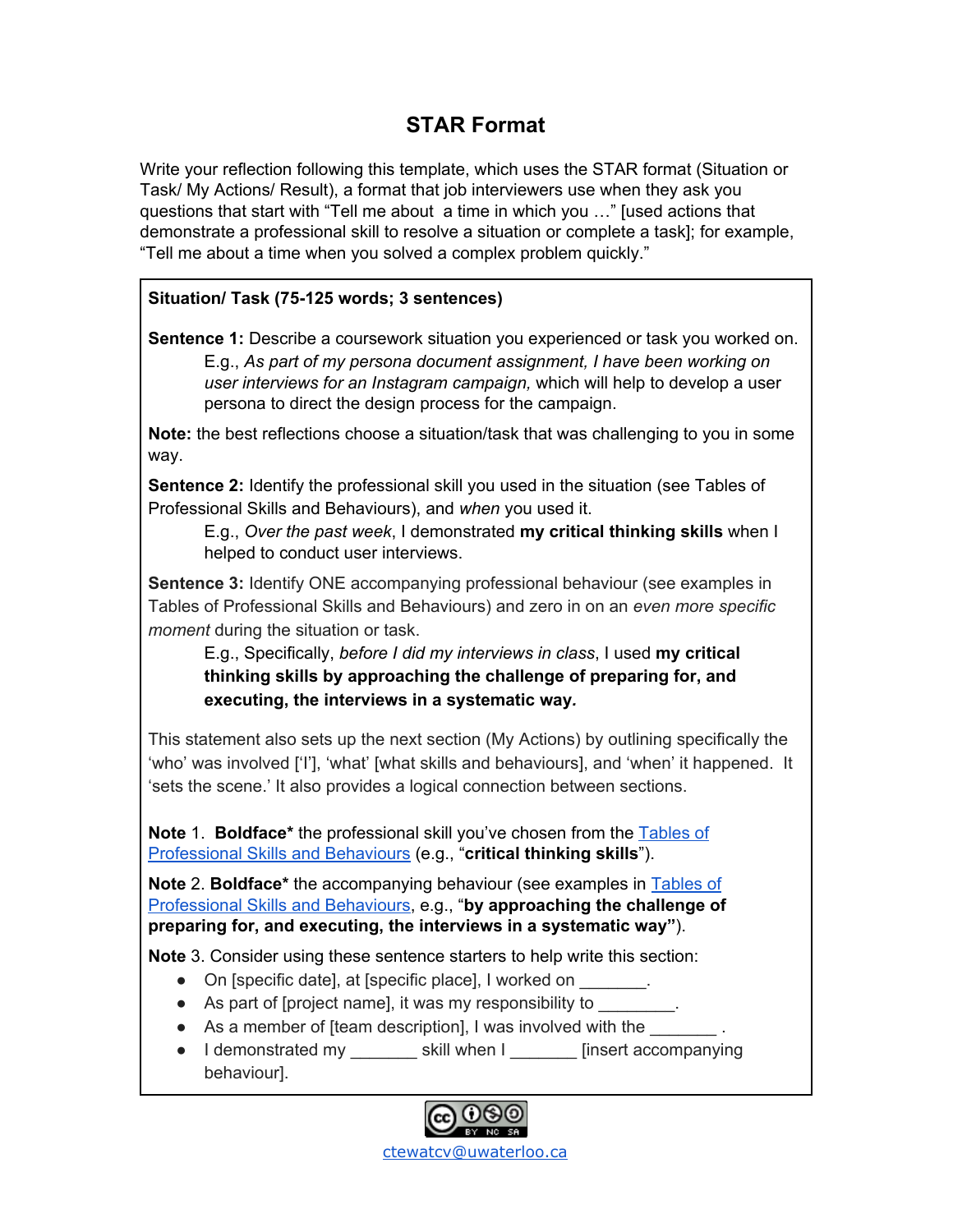## **STAR Format**

Write your reflection following this template, which uses the STAR format (Situation or Task/ My Actions/ Result), a format that job interviewers use when they ask you questions that start with "Tell me about a time in which you …" [used actions that demonstrate a professional skill to resolve a situation or complete a task]; for example, "Tell me about a time when you solved a complex problem quickly."

## **Situation/ Task (75-125 words; 3 sentences)**

**Sentence 1:** Describe a coursework situation you experienced or task you worked on. E.g., *As part of my persona document assignment, I have been working on user interviews for an Instagram campaign,* which will help to develop a user persona to direct the design process for the campaign.

**Note:** the best reflections choose a situation/task that was challenging to you in some way.

**Sentence 2:** Identify the professional skill you used in the situation (see Tables of Professional Skills and Behaviours), and *when* you used it.

E.g., *Over the past week*, I demonstrated **my critical thinking skills** when I helped to conduct user interviews.

**Sentence 3:** Identify ONE accompanying professional behaviour (see examples in Tables of Professional Skills and Behaviours) and zero in on an *even more specific moment* during the situation or task.

E.g., Specifically, *before I did my interviews in class*, I used **my critical thinking skills by approaching the challenge of preparing for, and executing, the interviews in a systematic way***.*

This statement also sets up the next section (My Actions) by outlining specifically the 'who' was involved ['I'], 'what' [what skills and behaviours], and 'when' it happened. It 'sets the scene.' It also provides a logical connection between sections.

**Note** 1. **Boldface\*** the professional skill you've chosen from the [Tables](https://uwaterloo.ca/centre-for-teaching-excellence/sites/ca.centre-for-teaching-excellence/files/uploads/files/tables_of_professional_skills_and_behaviours.pdf) of [Professional](https://uwaterloo.ca/centre-for-teaching-excellence/sites/ca.centre-for-teaching-excellence/files/uploads/files/tables_of_professional_skills_and_behaviours.pdf) Skills and Behaviours (e.g., "**critical thinking skills**").

**Note** 2. **Boldface\*** the accompanying behaviour (see examples in [Tables](https://uwaterloo.ca/centre-for-teaching-excellence/sites/ca.centre-for-teaching-excellence/files/uploads/files/tables_of_professional_skills_and_behaviours.pdf) of [Professional](https://uwaterloo.ca/centre-for-teaching-excellence/sites/ca.centre-for-teaching-excellence/files/uploads/files/tables_of_professional_skills_and_behaviours.pdf) Skills and Behaviours, e.g., "**by approaching the challenge of preparing for, and executing, the interviews in a systematic way"**).

**Note** 3. Consider using these sentence starters to help write this section:

- On [specific date], at [specific place], I worked on \_\_\_\_\_\_\_.
- As part of [project name], it was my responsibility to
- As a member of [team description], I was involved with the
- I demonstrated my \_\_\_\_\_\_\_\_\_ skill when I \_\_\_\_\_\_\_ [insert accompanying behaviour].

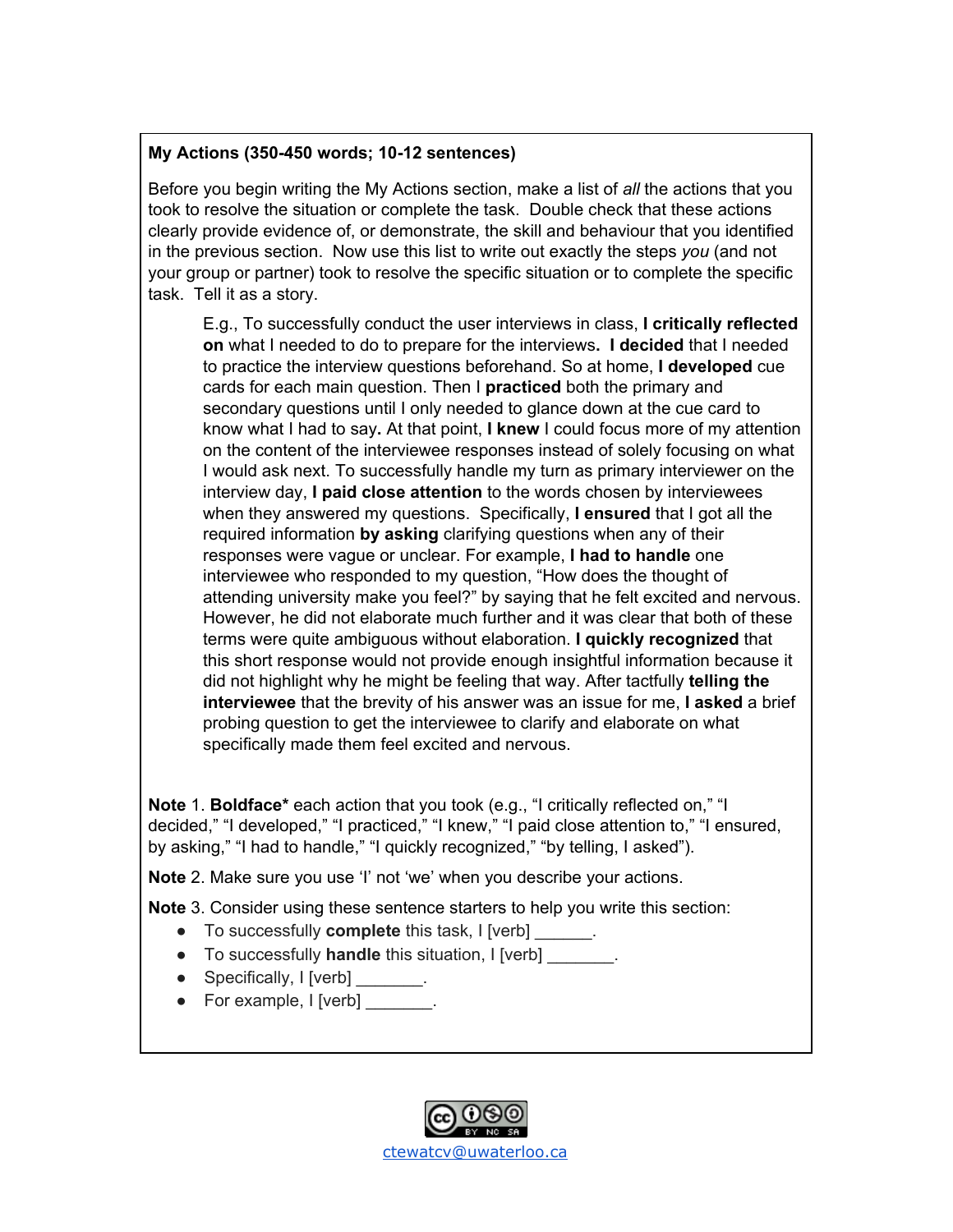## **My Actions (350-450 words; 10-12 sentences)**

Before you begin writing the My Actions section, make a list of *all* the actions that you took to resolve the situation or complete the task. Double check that these actions clearly provide evidence of, or demonstrate, the skill and behaviour that you identified in the previous section. Now use this list to write out exactly the steps *you* (and not your group or partner) took to resolve the specific situation or to complete the specific task. Tell it as a story.

E.g., To successfully conduct the user interviews in class, **I critically reflected on** what I needed to do to prepare for the interviews**. I decided** that I needed to practice the interview questions beforehand. So at home, **I developed** cue cards for each main question. Then I **practiced** both the primary and secondary questions until I only needed to glance down at the cue card to know what I had to say**.** At that point, **I knew** I could focus more of my attention on the content of the interviewee responses instead of solely focusing on what I would ask next. To successfully handle my turn as primary interviewer on the interview day, **I paid close attention** to the words chosen by interviewees when they answered my questions. Specifically, **I ensured** that I got all the required information **by asking** clarifying questions when any of their responses were vague or unclear. For example, **I had to handle** one interviewee who responded to my question, "How does the thought of attending university make you feel?" by saying that he felt excited and nervous. However, he did not elaborate much further and it was clear that both of these terms were quite ambiguous without elaboration. **I quickly recognized** that this short response would not provide enough insightful information because it did not highlight why he might be feeling that way. After tactfully **telling the interviewee** that the brevity of his answer was an issue for me, **I asked** a brief probing question to get the interviewee to clarify and elaborate on what specifically made them feel excited and nervous.

**Note** 1. **Boldface\*** each action that you took (e.g., "I critically reflected on," "I decided," "I developed," "I practiced," "I knew," "I paid close attention to," "I ensured, by asking," "I had to handle," "I quickly recognized," "by telling, I asked").

**Note** 2. Make sure you use 'I' not 'we' when you describe your actions.

**Note** 3. Consider using these sentence starters to help you write this section:

- To successfully **complete** this task, I [verb] \_\_\_\_\_\_.
- To successfully **handle** this situation, I [verb] \_\_\_\_\_\_\_.
- Specifically, I [verb] \_\_\_\_\_\_\_.
- For example, I [verb]